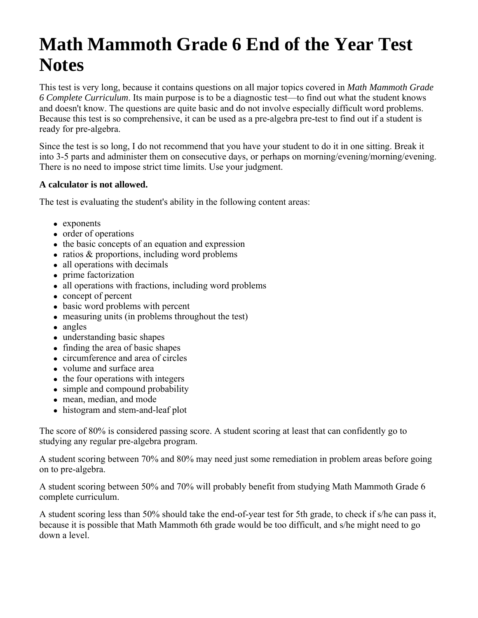# **Math Mammoth Grade 6 End of the Year Test Notes**

This test is very long, because it contains questions on all major topics covered in *Math Mammoth Grade 6 Complete Curriculum*. Its main purpose is to be a diagnostic test—to find out what the student knows and doesn't know. The questions are quite basic and do not involve especially difficult word problems. Because this test is so comprehensive, it can be used as a pre-algebra pre-test to find out if a student is ready for pre-algebra.

Since the test is so long, I do not recommend that you have your student to do it in one sitting. Break it into 3-5 parts and administer them on consecutive days, or perhaps on morning/evening/morning/evening. There is no need to impose strict time limits. Use your judgment.

### **A calculator is not allowed.**

The test is evaluating the student's ability in the following content areas:

- exponents
- order of operations
- the basic concepts of an equation and expression
- $\bullet$  ratios & proportions, including word problems
- all operations with decimals
- prime factorization
- all operations with fractions, including word problems
- concept of percent
- basic word problems with percent
- $\bullet$  measuring units (in problems throughout the test)
- angles
- understanding basic shapes
- finding the area of basic shapes
- circumference and area of circles
- volume and surface area
- $\bullet$  the four operations with integers
- simple and compound probability
- mean, median, and mode
- histogram and stem-and-leaf plot

The score of 80% is considered passing score. A student scoring at least that can confidently go to studying any regular pre-algebra program.

A student scoring between 70% and 80% may need just some remediation in problem areas before going on to pre-algebra.

A student scoring between 50% and 70% will probably benefit from studying Math Mammoth Grade 6 complete curriculum.

A student scoring less than 50% should take the end-of-year test for 5th grade, to check if s/he can pass it, because it is possible that Math Mammoth 6th grade would be too difficult, and s/he might need to go down a level.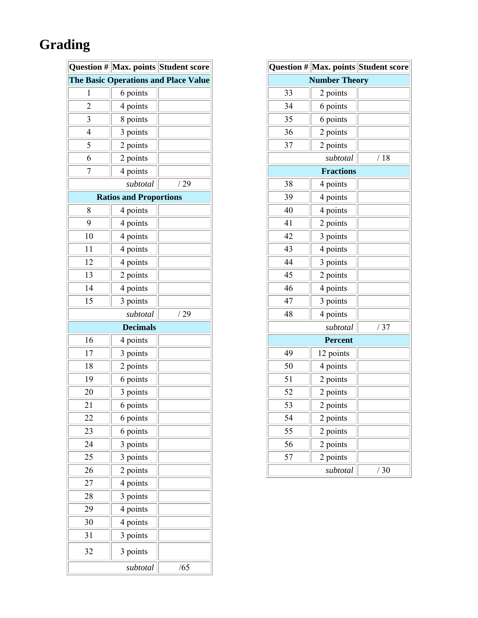# **Grading**

|                                             |                               | Question # Max. points Student score |  |
|---------------------------------------------|-------------------------------|--------------------------------------|--|
| <b>The Basic Operations and Place Value</b> |                               |                                      |  |
| 1                                           | 6 points                      |                                      |  |
| $\overline{2}$                              | 4 points                      |                                      |  |
| 3                                           | 8 points                      |                                      |  |
| $\overline{4}$                              | 3 points                      |                                      |  |
| 5                                           | 2 points                      |                                      |  |
| 6                                           | 2 points                      |                                      |  |
| 7                                           | 4 points                      |                                      |  |
|                                             | subtotal                      | /29                                  |  |
|                                             | <b>Ratios and Proportions</b> |                                      |  |
| 8                                           | 4 points                      |                                      |  |
| 9                                           | 4 points                      |                                      |  |
| 10                                          | 4 points                      |                                      |  |
| 11                                          | 4 points                      |                                      |  |
| 12                                          | 4 points                      |                                      |  |
| 13                                          | 2 points                      |                                      |  |
| 14                                          | 4 points                      |                                      |  |
| 15                                          | 3 points                      |                                      |  |
|                                             | subtotal                      | /29                                  |  |
|                                             | <b>Decimals</b>               |                                      |  |
| 16                                          | 4 points                      |                                      |  |
| 17                                          | 3 points                      |                                      |  |
| 18                                          | 2 points                      |                                      |  |
| 19                                          | 6 points                      |                                      |  |
| 20                                          | 3 points                      |                                      |  |
| 21                                          | 6 points                      |                                      |  |
| 22                                          | 6 points                      |                                      |  |
| 23                                          | 6 points                      |                                      |  |
| 24                                          | 3 points                      |                                      |  |
| 25                                          | 3 points                      |                                      |  |
| 26                                          | 2 points                      |                                      |  |
| 27                                          | 4 points                      |                                      |  |
| 28                                          | 3 points                      |                                      |  |
| 29                                          | 4 points                      |                                      |  |
| 30                                          | 4 points                      |                                      |  |
| 31                                          | 3 points                      |                                      |  |
| 32                                          | 3 points                      |                                      |  |
|                                             | subtotal                      | /65                                  |  |

|                |                      | Question # Max. points Student score |  |
|----------------|----------------------|--------------------------------------|--|
|                | <b>Number Theory</b> |                                      |  |
| 33             | 2 points             |                                      |  |
| 34             | 6 points             |                                      |  |
| 35             | 6 points             |                                      |  |
| 36             | 2 points             |                                      |  |
| 37             | 2 points             |                                      |  |
|                | subtotal             | /18                                  |  |
|                | <b>Fractions</b>     |                                      |  |
| 38             | 4 points             |                                      |  |
| 39             | 4 points             |                                      |  |
| 40             | 4 points             |                                      |  |
| 41             | 2 points             |                                      |  |
| 42             | 3 points             |                                      |  |
| 43             | 4 points             |                                      |  |
| 44             | 3 points             |                                      |  |
| 45             | 2 points             |                                      |  |
| 46             | 4 points             |                                      |  |
| 47             | 3 points             |                                      |  |
| 48             | 4 points             |                                      |  |
|                | subtotal             | /37                                  |  |
| <b>Percent</b> |                      |                                      |  |
| 49             | 12 points            |                                      |  |
| 50             | 4 points             |                                      |  |
| 51             | 2 points             |                                      |  |
| 52             | 2 points             |                                      |  |
| 53             | 2 points             |                                      |  |
| 54             | 2 points             |                                      |  |
| 55             | 2 points             |                                      |  |
| 56             | 2 points             |                                      |  |
| 57             | 2 points             |                                      |  |
|                | subtotal             | /30                                  |  |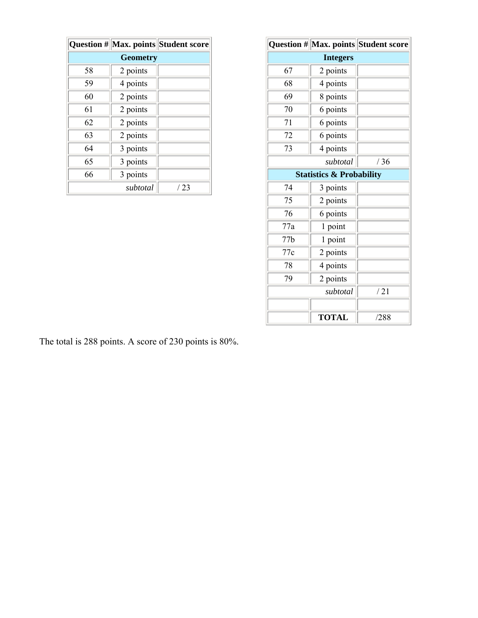|                 |          | Question # Max. points Student score |
|-----------------|----------|--------------------------------------|
| <b>Geometry</b> |          |                                      |
| 58              | 2 points |                                      |
| 59              | 4 points |                                      |
| 60              | 2 points |                                      |
| 61              | 2 points |                                      |
| 62              | 2 points |                                      |
| 63              | 2 points |                                      |
| 64              | 3 points |                                      |
| 65              | 3 points |                                      |
| 66              | 3 points |                                      |
|                 | subtotal | /23                                  |

|     |                                     | Question # Max. points Student score |
|-----|-------------------------------------|--------------------------------------|
|     |                                     |                                      |
| 67  | 2 points                            |                                      |
| 68  | 4 points                            |                                      |
| 69  | 8 points                            |                                      |
| 70  | 6 points                            |                                      |
| 71  | 6 points                            |                                      |
| 72  | 6 points                            |                                      |
| 73  | 4 points                            |                                      |
|     | subtotal                            | /36                                  |
|     | <b>Statistics &amp; Probability</b> |                                      |
| 74  | 3 points                            |                                      |
| 75  | 2 points                            |                                      |
| 76  | 6 points                            |                                      |
| 77a | 1 point                             |                                      |
| 77b | 1 point                             |                                      |
| 77c | 2 points                            |                                      |
| 78  | 4 points                            |                                      |
| 79  | 2 points                            |                                      |
|     | subtotal                            | /21                                  |
|     |                                     |                                      |
|     | <b>TOTAL</b>                        | /288                                 |

The total is 288 points. A score of 230 points is 80%.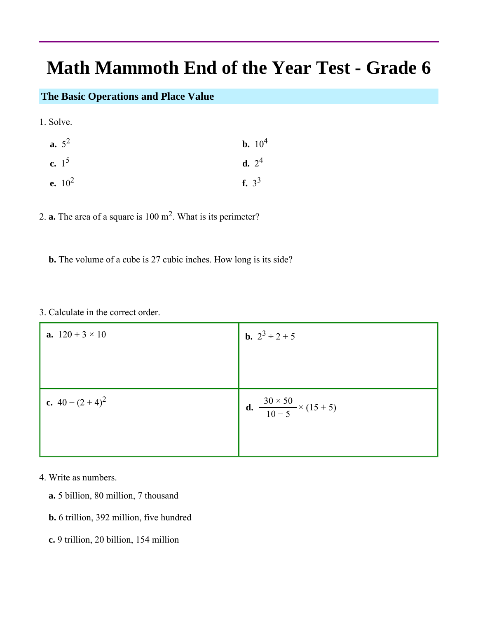# **Math Mammoth End of the Year Test - Grade 6**

## **The Basic Operations and Place Value**

1. Solve.

| <b>a.</b> $5^2$  | <b>b.</b> $10^4$ |
|------------------|------------------|
| c. $1^5$         | <b>d.</b> $2^4$  |
| <b>e.</b> $10^2$ | f. $3^3$         |

2. **a.** The area of a square is 100 m2. What is its perimeter?

**b.** The volume of a cube is 27 cubic inches. How long is its side?

#### 3. Calculate in the correct order.

| <b>a.</b> $120 + 3 \times 10$ | <b>b.</b> $2^3 \div 2 + 5$                              |
|-------------------------------|---------------------------------------------------------|
|                               |                                                         |
|                               |                                                         |
| c. $40 - (2 + 4)^2$           | <b>d.</b> $\frac{30 \times 50}{10 - 5} \times (15 + 5)$ |
|                               |                                                         |

4. Write as numbers.

- **a.** 5 billion, 80 million, 7 thousand
- **b.** 6 trillion, 392 million, five hundred
- **c.** 9 trillion, 20 billion, 154 million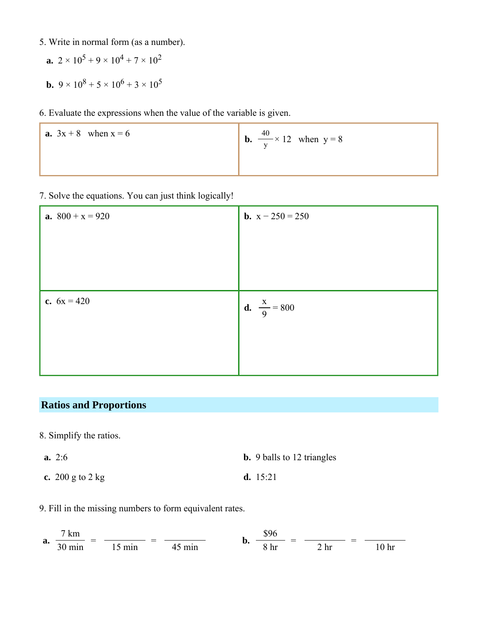- 5. Write in normal form (as a number).
	- **a.**  $2 \times 10^5 + 9 \times 10^4 + 7 \times 10^2$
	- **b.**  $9 \times 10^8 + 5 \times 10^6 + 3 \times 10^5$
- 6. Evaluate the expressions when the value of the variable is given.

| <b>a.</b> $3x + 8$ when $x = 6$ | 40<br><b>b.</b> $\frac{40}{y} \times 12$ when $y = 8$ |
|---------------------------------|-------------------------------------------------------|
|                                 |                                                       |

7. Solve the equations. You can just think logically!

| <b>a.</b> $800 + x = 920$ | <b>b.</b> $x - 250 = 250$     |
|---------------------------|-------------------------------|
|                           |                               |
|                           |                               |
|                           |                               |
| c. $6x = 420$             | <b>d.</b> $\frac{x}{9} = 800$ |
|                           |                               |
|                           |                               |
|                           |                               |

## **Ratios and Proportions**

- 8. Simplify the ratios.
- **a.** 2:6 **b.** 9 balls to 12 triangles **c.** 200 g to 2 kg **d.** 15:21
- 9. Fill in the missing numbers to form equivalent rates.

**a.** 
$$
\frac{7 \text{ km}}{30 \text{ min}} = \frac{15 \text{ min}}{15 \text{ min}} = \frac{45 \text{ min}}{45 \text{ min}}
$$
 **b.**  $\frac{\$96}{8 \text{ hr}} = \frac{2 \text{ hr}}{2 \text{ hr}} = \frac{10 \text{ hr}}{10 \text{ hr}}$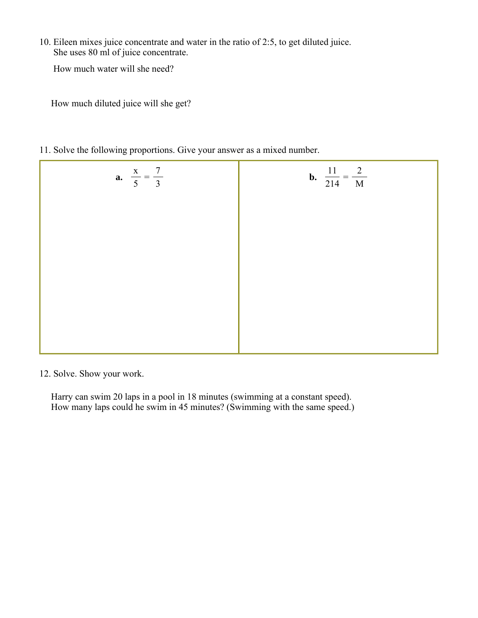10. Eileen mixes juice concentrate and water in the ratio of 2:5, to get diluted juice. She uses 80 ml of juice concentrate.

How much water will she need?

How much diluted juice will she get?

11. Solve the following proportions. Give your answer as a mixed number.

| <b>a.</b> $\frac{x}{5} = \frac{7}{3}$ | <b>b.</b> $\frac{11}{214} = \frac{2}{M}$ |
|---------------------------------------|------------------------------------------|
|                                       |                                          |
|                                       |                                          |
|                                       |                                          |
|                                       |                                          |
|                                       |                                          |

12. Solve. Show your work.

 Harry can swim 20 laps in a pool in 18 minutes (swimming at a constant speed). How many laps could he swim in 45 minutes? (Swimming with the same speed.)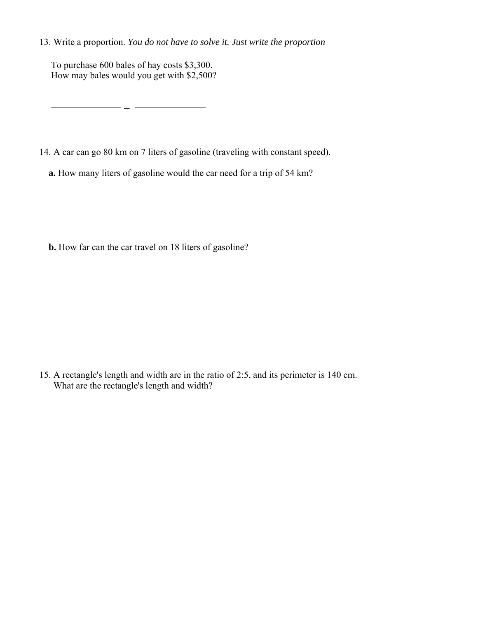13. Write a proportion. *You do not have to solve it. Just write the proportion*

 To purchase 600 bales of hay costs \$3,300. How may bales would you get with \$2,500?

 $\frac{1}{2}$  =  $\frac{1}{2}$ 

- 14. A car can go 80 km on 7 liters of gasoline (traveling with constant speed).
	- **a.** How many liters of gasoline would the car need for a trip of 54 km?

**b.** How far can the car travel on 18 liters of gasoline?

15. A rectangle's length and width are in the ratio of 2:5, and its perimeter is 140 cm. What are the rectangle's length and width?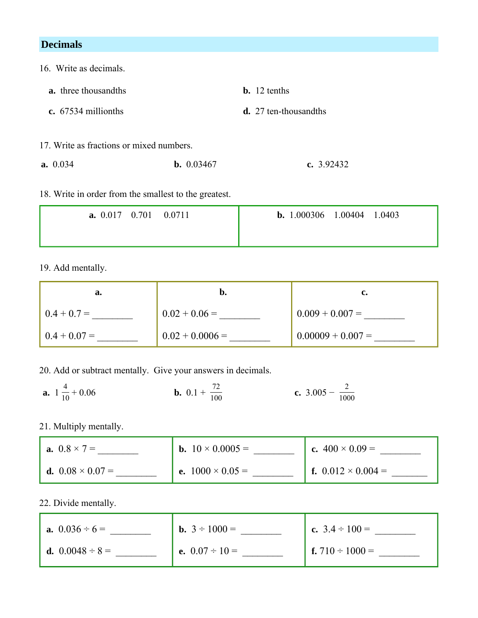| <b>Decimals</b>                          |                     |                          |  |
|------------------------------------------|---------------------|--------------------------|--|
| 16. Write as decimals.                   |                     |                          |  |
| <b>a.</b> three thousand ths             |                     | $\mathbf{b}$ . 12 tenths |  |
| $\epsilon$ . 67534 millionths            |                     | $d. 27$ ten-thousand ths |  |
| 17. Write as fractions or mixed numbers. |                     |                          |  |
| a. 0.034                                 | <b>b.</b> $0.03467$ | c. $3.92432$             |  |

### 18. Write in order from the smallest to the greatest.

| <b>a.</b> $0.017 \quad 0.701 \quad 0.0711$ | <b>b.</b> 1.000306 1.00404<br>1.0403 |
|--------------------------------------------|--------------------------------------|
|                                            |                                      |

## 19. Add mentally.

| а.             | b.                |                     |
|----------------|-------------------|---------------------|
| $0.4 + 0.7 =$  | $0.02 + 0.06 =$   | $0.009 + 0.007 =$   |
| $0.4 + 0.07 =$ | $0.02 + 0.0006 =$ | $0.00009 + 0.007 =$ |

20. Add or subtract mentally. Give your answers in decimals.

**a.**  $1\frac{4}{10} + 0.06$ **b.**  $0.1 + \frac{72}{100}$  $\frac{72}{100}$  **c.** 3.005 -  $\frac{2}{1000}$ 

21. Multiply mentally.

| <b>a.</b> $0.8 \times 7 =$     | <b>b.</b> $10 \times 0.0005 =$ | c. $400 \times 0.09 =$           |
|--------------------------------|--------------------------------|----------------------------------|
| <b>d.</b> $0.08 \times 0.07 =$ | <b>e.</b> $1000 \times 0.05 =$ | <b>f.</b> $0.012 \times 0.004 =$ |

22. Divide mentally.

| <b>a.</b> $0.036 \div 6 =$  | <b>b.</b> $3 \div 1000 =$ | c. $3.4 \div 100 =$           |
|-----------------------------|---------------------------|-------------------------------|
| <b>d.</b> $0.0048 \div 8 =$ | e. $0.07 \div 10 =$       | <b>f.</b> 710 $\div$ 1000 $=$ |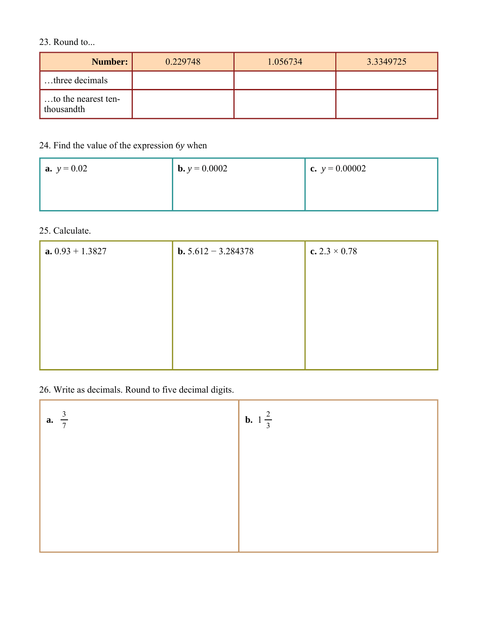## 23. Round to...

| Number:                           | 0.229748 | 1.056734 | 3.3349725 |
|-----------------------------------|----------|----------|-----------|
| three decimals                    |          |          |           |
| to the nearest ten-<br>thousandth |          |          |           |

# 24. Find the value of the expression 6*y* when

| <b>a.</b> $y = 0.02$ | <b>b.</b> $y = 0.0002$ | c. $y = 0.00002$ |
|----------------------|------------------------|------------------|
|                      |                        |                  |

## 25. Calculate.

| $a. 0.93 + 1.3827$ | <b>b.</b> $5.612 - 3.284378$ | c. $2.3 \times 0.78$ |
|--------------------|------------------------------|----------------------|
|                    |                              |                      |
|                    |                              |                      |
|                    |                              |                      |
|                    |                              |                      |
|                    |                              |                      |

26. Write as decimals. Round to five decimal digits.

| <b>a.</b> $\frac{3}{7}$ | <b>b.</b> $1\frac{2}{3}$ |
|-------------------------|--------------------------|
|                         |                          |
|                         |                          |
|                         |                          |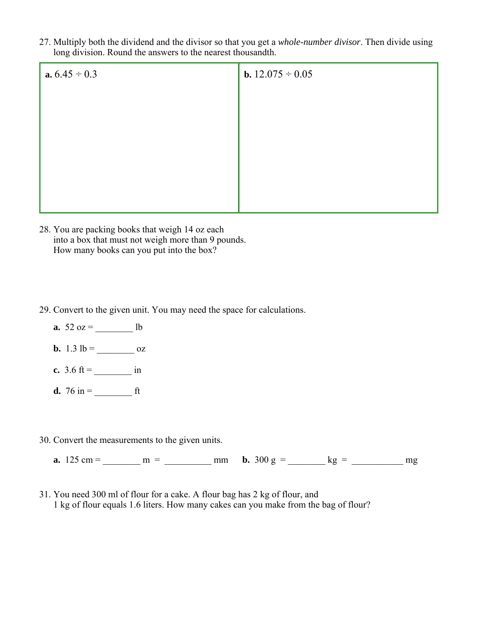27. Multiply both the dividend and the divisor so that you get a *whole-number divisor*. Then divide using long division. Round the answers to the nearest thousandth.

| <b>a.</b> $6.45 \div 0.3$ | <b>b.</b> $12.075 \div 0.05$ |
|---------------------------|------------------------------|
|                           |                              |
|                           |                              |
|                           |                              |
|                           |                              |
|                           |                              |
|                           |                              |

- 28. You are packing books that weigh 14 oz each into a box that must not weigh more than 9 pounds. How many books can you put into the box?
- 29. Convert to the given unit. You may need the space for calculations.
	- **a.**  $52 oz =$  lb
	- **b.**  $1.3 \text{ lb} = \underline{\hspace{2cm}}$  oz
	- **c.** 3.6 ft =  $\sin$
	- **d.** 76 in = ft
- 30. Convert the measurements to the given units.

**a.**  $125 \text{ cm} = \text{ m} = \text{ m} = \text{ m}$  **b.**  $300 \text{ g} = \text{ kg} = \text{ m}$ 

31. You need 300 ml of flour for a cake. A flour bag has 2 kg of flour, and 1 kg of flour equals 1.6 liters. How many cakes can you make from the bag of flour?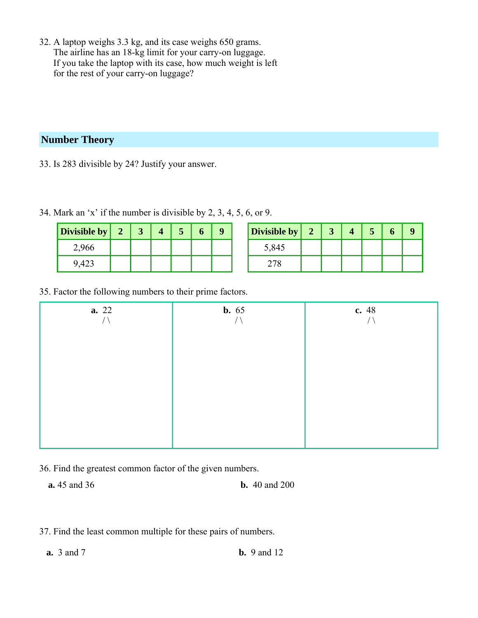32. A laptop weighs 3.3 kg, and its case weighs 650 grams. The airline has an 18-kg limit for your carry-on luggage. If you take the laptop with its case, how much weight is left for the rest of your carry-on luggage?

## **Number Theory**

33. Is 283 divisible by 24? Justify your answer.

| Divisible by |  |  |  |
|--------------|--|--|--|
| 2,966        |  |  |  |
|              |  |  |  |

| Divisible by |  |  |  |
|--------------|--|--|--|
| 5,845        |  |  |  |
|              |  |  |  |

34. Mark an 'x' if the number is divisible by 2, 3, 4, 5, 6, or 9.

### 35. Factor the following numbers to their prime factors.

| <b>a.</b> 22<br>/ | <b>b.</b> 65 | c. 48 |
|-------------------|--------------|-------|
|                   |              |       |
|                   |              |       |
|                   |              |       |
|                   |              |       |
|                   |              |       |

36. Find the greatest common factor of the given numbers.

**a.** 45 and 36 **b.** 40 and 200

37. Find the least common multiple for these pairs of numbers.

 **a.** 3 and 7 **b.** 9 and 12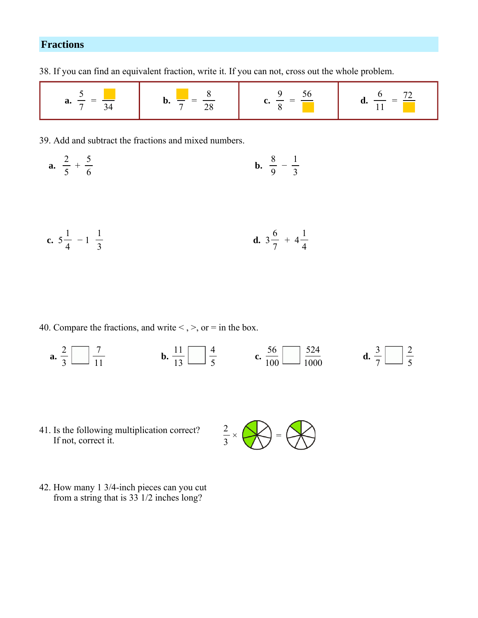# **Fractions**

38. If you can find an equivalent fraction, write it. If you can not, cross out the whole problem.

| a. | v, |  |  |
|----|----|--|--|
|----|----|--|--|

39. Add and subtract the fractions and mixed numbers.

**a.** 
$$
\frac{2}{5} + \frac{5}{6}
$$
 **b.**  $\frac{8}{9} - \frac{1}{3}$ 

**c.** 
$$
5\frac{1}{4} - 1\frac{1}{3}
$$
 **d.**  $3\frac{6}{7} + 4\frac{1}{4}$ 

40. Compare the fractions, and write  $\lt$ ,  $\gt$ , or  $=$  in the box.

 **a. b. c. d.** 

41. Is the following multiplication correct? If not, correct it.



42. How many 1 3/4-inch pieces can you cut from a string that is 33 1/2 inches long?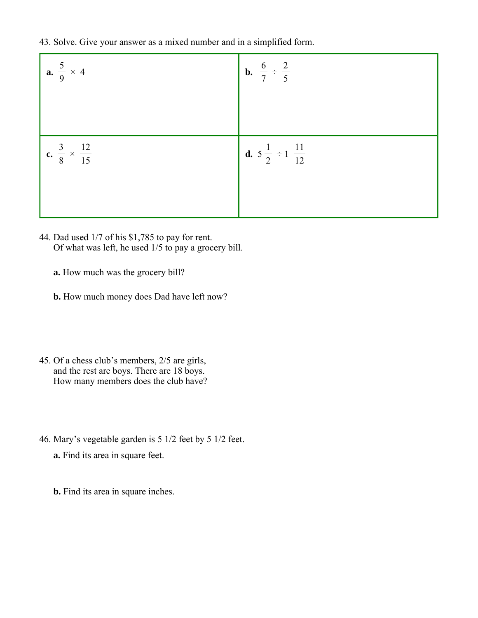43. Solve. Give your answer as a mixed number and in a simplified form.

| <b>a.</b> $\frac{5}{9} \times 4$      | <b>b.</b> $\frac{6}{7} \div \frac{2}{5}$     |
|---------------------------------------|----------------------------------------------|
| c. $\frac{3}{8} \times \frac{12}{15}$ | <b>d.</b> $5\frac{1}{2} \div 1\frac{11}{12}$ |

- 44. Dad used 1/7 of his \$1,785 to pay for rent. Of what was left, he used 1/5 to pay a grocery bill.
	- **a.** How much was the grocery bill?
	- **b.** How much money does Dad have left now?
- 45. Of a chess club's members, 2/5 are girls, and the rest are boys. There are 18 boys. How many members does the club have?
- 46. Mary's vegetable garden is 5 1/2 feet by 5 1/2 feet.
	- **a.** Find its area in square feet.
	- **b.** Find its area in square inches.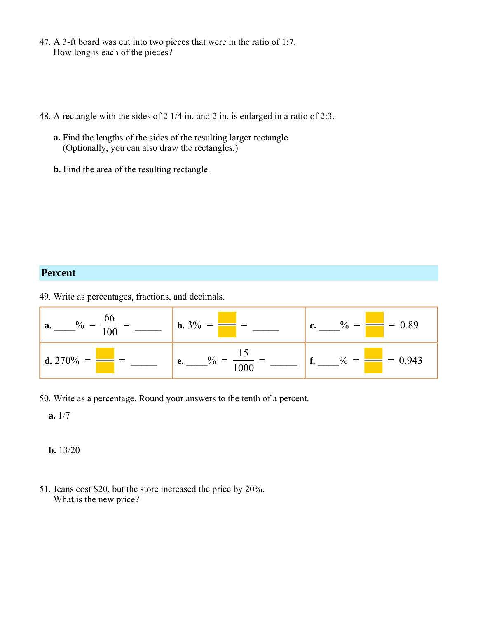- 47. A 3-ft board was cut into two pieces that were in the ratio of 1:7. How long is each of the pieces?
- 48. A rectangle with the sides of 2 1/4 in. and 2 in. is enlarged in a ratio of 2:3.
	- **a.** Find the lengths of the sides of the resulting larger rectangle. (Optionally, you can also draw the rectangles.)
	- **b.** Find the area of the resulting rectangle.

#### **Percent**

49. Write as percentages, fractions, and decimals.



50. Write as a percentage. Round your answers to the tenth of a percent.

**a.** 1/7

**b.** 13/20

51. Jeans cost \$20, but the store increased the price by 20%. What is the new price?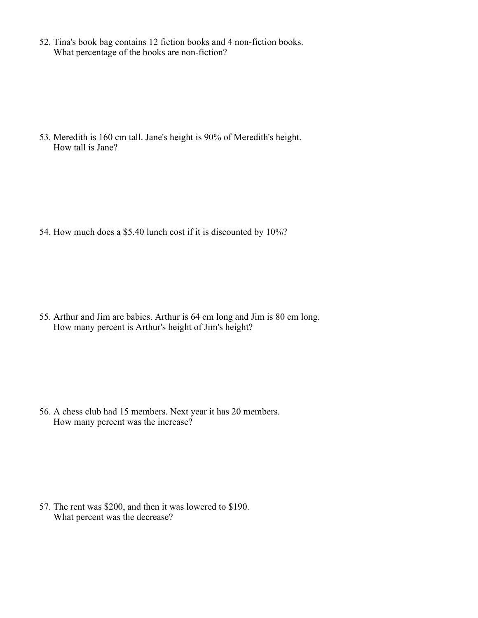52. Tina's book bag contains 12 fiction books and 4 non-fiction books. What percentage of the books are non-fiction?

53. Meredith is 160 cm tall. Jane's height is 90% of Meredith's height. How tall is Jane?

54. How much does a \$5.40 lunch cost if it is discounted by 10%?

55. Arthur and Jim are babies. Arthur is 64 cm long and Jim is 80 cm long. How many percent is Arthur's height of Jim's height?

56. A chess club had 15 members. Next year it has 20 members. How many percent was the increase?

57. The rent was \$200, and then it was lowered to \$190. What percent was the decrease?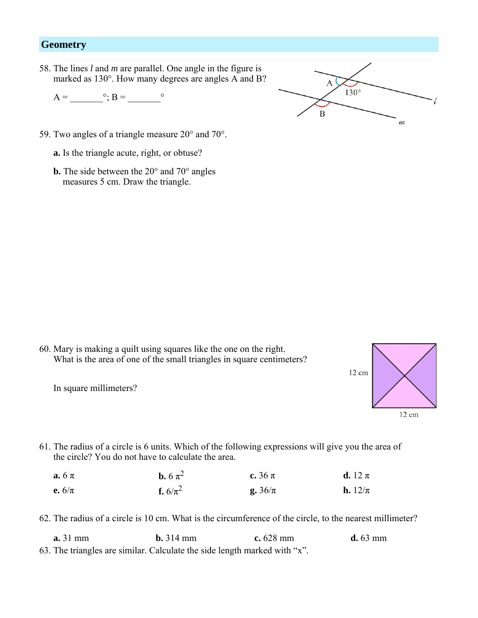## **Geometry**

58. The lines *l* and *m* are parallel. One angle in the figure is marked as 130°. How many degrees are angles A and B?

 $A = \circ$ ;  $B = \circ$ 



59. Two angles of a triangle measure 20° and 70°.

**a.** Is the triangle acute, right, or obtuse?

**b.** The side between the 20° and 70° angles measures 5 cm. Draw the triangle.

60. Mary is making a quilt using squares like the one on the right. What is the area of one of the small triangles in square centimeters?

In square millimeters?



61. The radius of a circle is 6 units. Which of the following expressions will give you the area of the circle? You do not have to calculate the area.

| $\mathbf{a.6} \pi$ | <b>b.</b> 6 $\pi^2$ | c. $36 \pi$ | d. 12 $\pi$ |
|--------------------|---------------------|-------------|-------------|
| e. $6/\pi$         | <b>f.</b> $6/\pi^2$ | g. $36/\pi$ | h. $12/\pi$ |

62. The radius of a circle is 10 cm. What is the circumference of the circle, to the nearest millimeter?

63. The triangles are similar. Calculate the side length marked with "x". **a.** 31 mm **b.** 314 mm **c.** 628 mm **d.** 63 mm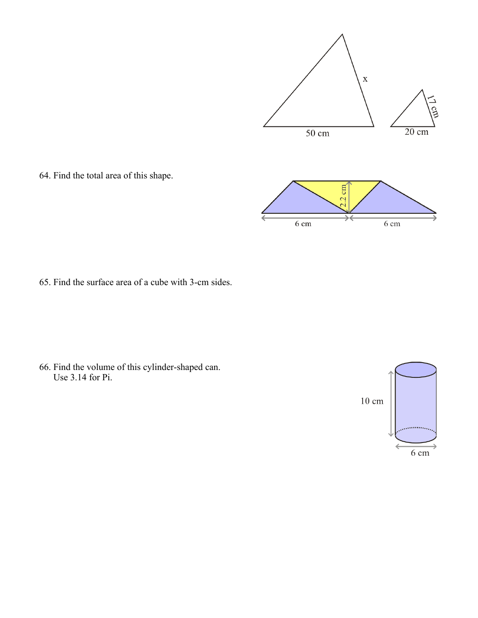

64. Find the total area of this shape.

65. Find the surface area of a cube with 3-cm sides.

66. Find the volume of this cylinder-shaped can. Use 3.14 for Pi.

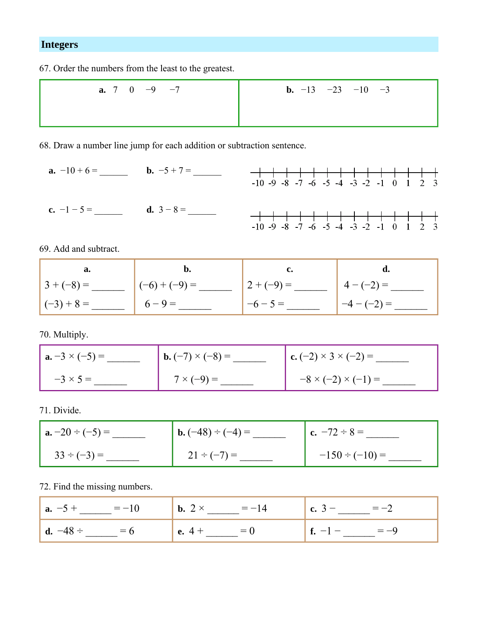## **Integers**

67. Order the numbers from the least to the greatest.

| <b>a.</b> 7 0 -9 -7 | <b>b.</b> $-13$ $-23$ $-10$ $-3$ |
|---------------------|----------------------------------|
|                     |                                  |
|                     |                                  |

68. Draw a number line jump for each addition or subtraction sentence.

 **a.** −10 + 6 = \_\_\_\_\_\_ **b.** −5 + 7 = \_\_\_\_\_\_  $-10 -9 -8 -7 -6 -5 -4 -3 -2 -1 0 1 2 3$ **c.**  $-1 - 5 =$  **d.**  $3 - 8 =$  $-10 -9 -8 -7 -6 -5 -4 -3 -2 -1 0 1 2 3$ 

69. Add and subtract.

| a.           |                 |               |             |
|--------------|-----------------|---------------|-------------|
| $3 + (-8) =$ | $(-6) + (-9) =$ | $12 + (-9) =$ | $4-(-2) =$  |
| $(-3) + 8 =$ | $6 - 9 =$       | $-6 - 5 =$    | $-4-(-2) =$ |

70. Multiply.

| $  \mathbf{a.} -3 \times (-5) =$ | <b>b.</b> $(-7) \times (-8) =$ | <b>c.</b> $(-2) \times 3 \times (-2) =$ |
|----------------------------------|--------------------------------|-----------------------------------------|
| $-3 \times 5 =$                  | $7 \times (-9) =$              | $-8 \times (-2) \times (-1) =$          |

71. Divide.

| $  \mathbf{a} \cdot -20 \div (-5) =$ | <b>b.</b> $(-48) \div (-4) =$ | $c. -72 \div 8 =$   |
|--------------------------------------|-------------------------------|---------------------|
| $33 \div (-3) =$                     | $21 \div (-7) =$              | $-150 \div (-10) =$ |

72. Find the missing numbers.

| <b>a.</b> $-5 +$ $= -10$ | <b>b.</b> 2 $\times$ = -14 | $(c. 3 - \_ = -2$  |
|--------------------------|----------------------------|--------------------|
| <b>d.</b> $-48 \div 56$  | <b>e.</b> $4 + 9 = 0$      | <b>f.</b> $-1 - 9$ |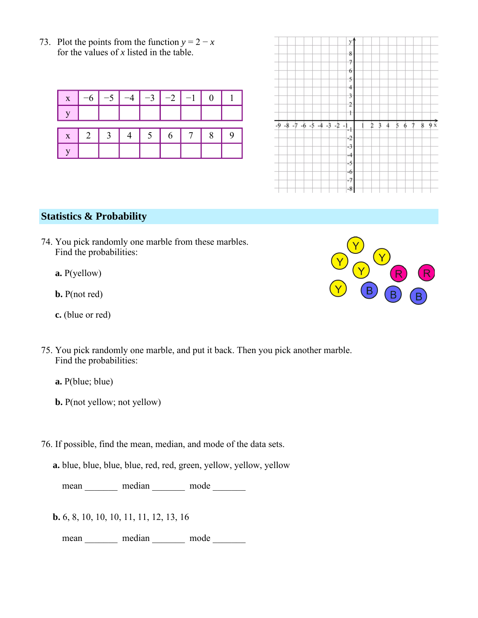73. Plot the points from the function  $y = 2 - x$ for the values of *x* listed in the table.

| $\mathbf{X}$ | $-6$                | $\begin{vmatrix} -5 & -4 & -3 & -2 & -1 & 0 \end{vmatrix}$ |  |  |  |
|--------------|---------------------|------------------------------------------------------------|--|--|--|
|              |                     |                                                            |  |  |  |
|              | $x$ 2 3 4 5 6 7 8 9 |                                                            |  |  |  |
|              |                     |                                                            |  |  |  |

|                                                        | y                                                 |
|--------------------------------------------------------|---------------------------------------------------|
|                                                        | 8                                                 |
|                                                        |                                                   |
|                                                        | 7                                                 |
|                                                        | 6                                                 |
|                                                        | 5                                                 |
|                                                        | $^{4}$                                            |
|                                                        | 3                                                 |
|                                                        | 2                                                 |
|                                                        | t                                                 |
|                                                        |                                                   |
| $-9 - 8 - 7 - 6 - 5 - 4$<br>$-2 - 1$<br>$-\frac{1}{2}$ | $\frac{1}{9}x$<br>8<br>5<br>7<br>2<br>6<br>3<br>Δ |
|                                                        | $\div$                                            |
|                                                        | $-2$                                              |
|                                                        | $-3$                                              |
|                                                        | $-4$                                              |
|                                                        | $-5$                                              |
|                                                        | -6                                                |
|                                                        | $-7$<br>$-8$                                      |

## **Statistics & Probability**

- 74. You pick randomly one marble from these marbles. Find the probabilities:
	- **a.** P(yellow)
	- **b.** P(not red)
	- **c.** (blue or red)
- 75. You pick randomly one marble, and put it back. Then you pick another marble. Find the probabilities:
	- **a.** P(blue; blue)
	- **b.** P(not yellow; not yellow)
- 76. If possible, find the mean, median, and mode of the data sets.
	- **a.** blue, blue, blue, blue, red, red, green, yellow, yellow, yellow

mean \_\_\_\_\_\_\_\_ median \_\_\_\_\_\_\_ mode \_\_\_\_\_\_\_

**b.** 6, 8, 10, 10, 10, 11, 11, 12, 13, 16

mean \_\_\_\_\_\_\_\_ median \_\_\_\_\_\_\_ mode \_\_\_\_\_\_\_